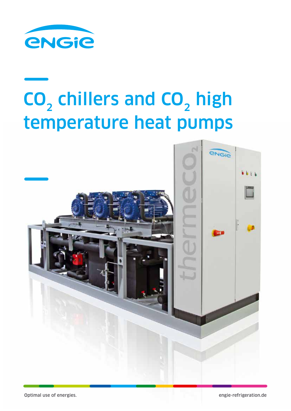

# CO<sub>2</sub> chillers and CO<sub>2</sub> high temperature heat pumps

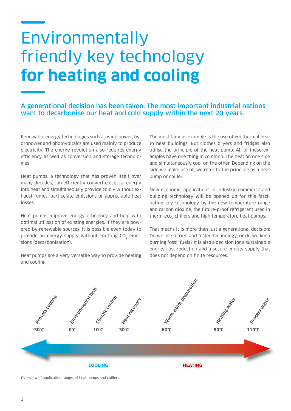### Environmentally friendly key technology **for heating and cooling**

#### A generational decision has been taken: The most important industrial nations want to decarbonise our heat and cold supply within the next 20 years.

Renewable energy technologies such as wind power, hydropower and photovoltaics are used mainly to produce electricity. The energy revolution also requires energy efficiency as well as conversion and storage technologies.

Heat pumps, a technology that has proven itself over many decades, can efficiently convert electrical energy into heat and simultaneously provide cold – without exhaust fumes, particulate emissions or appreciable heat losses.

Heat pumps improve energy efficiency and help with optimal utilisation of existing energies. If they are powered by renewable sources, it is possible even today to provide an energy supply without emitting CO<sub>2</sub> emissions (decarbonisation).

Heat pumps are a very versatile way to provide heating and cooling.

The most famous example is the use of geothermal heat to heat buildings. But clothes dryers and fridges also utilise the principle of the heat pump. All of these examples have one thing in common: The heat on one side and simultaneously cool on the other. Depending on the side we make use of, we refer to the principle as a heat pump or chiller.

New economic applications in industry, commerce and building technology will be opened up for this fascinating key technology by the new temperature range and carbon dioxide, the future-proof refrigerant used in therm-eco<sub>2</sub> chillers and high temperature heat pumps.

That means it is more than just a generational decision: Do we use a tried and tested technology, or do we keep burning fossil fuels? It is also a decision for a sustainable energy cost reduction and a secure energy supply that does not depend on finite resources.



Overview of application ranges of heat pumps and chillers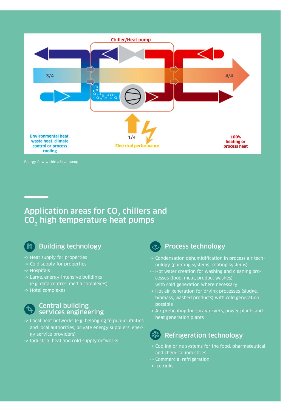

### Application areas for  $CO<sub>2</sub>$  chillers and  $CO<sub>2</sub>$  high temperature heat pumps



### Building technology

- -> Heat supply for properties
- -> Cold supply for properties
- -> Hospitals
- -> Large, energy-intensive buildings (e.g. data centres, media complexes)
- -> Hotel complexes

#### Central building services engineering

- -> Local heat networks (e.g. belonging to public utilities and local authorities, private energy suppliers, energy service providers)
- -> Industrial heat and cold supply networks



#### Process technology

- -> Condensation dehumidification in process air technology (painting systems, coating systems)
- -> Hot water creation for washing and cleaning processes (food, meat, product washes) with cold generation where necessary
- -> Hot air generation for drying processes (sludge, biomass, washed products) with cold generation possible
- -> Air preheating for spray dryers, power plants and heat generation plants

### Refrigeration technology

- -> Cooling brine systems for the food, pharmaceutical and chemical industries
- -> Commercial refrigeration
- -> Ice rinks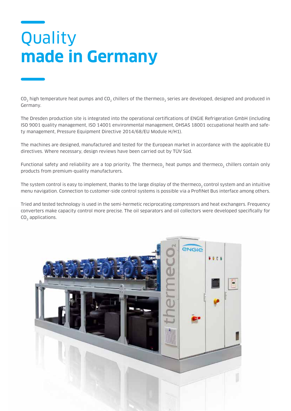## Quality **made in Germany**

CO<sub>2</sub> high temperature heat pumps and CO<sub>2</sub> chillers of the thermeco<sub>2</sub> series are developed, designed and produced in Germany.

The Dresden production site is integrated into the operational certifications of ENGIE Refrigeration GmbH (including ISO 9001 quality management, ISO 14001 environmental management, OHSAS 18001 occupational health and safety management, Pressure Equipment Directive 2014/68/EU Module H/H1).

The machines are designed, manufactured and tested for the European market in accordance with the applicable EU directives. Where necessary, design reviews have been carried out by TÜV Süd.

Functional safety and reliability are a top priority. The thermeco<sub>2</sub> heat pumps and thermeco<sub>2</sub> chillers contain only products from premium-quality manufacturers.

The system control is easy to implement, thanks to the large display of the thermeco, control system and an intuitive menu navigation. Connection to customer-side control systems is possible via a ProfiNet Bus interface among others.

Tried and tested technology is used in the semi-hermetic reciprocating compressors and heat exchangers. Frequency converters make capacity control more precise. The oil separators and oil collectors were developed specifically for CO<sub>2</sub> applications.

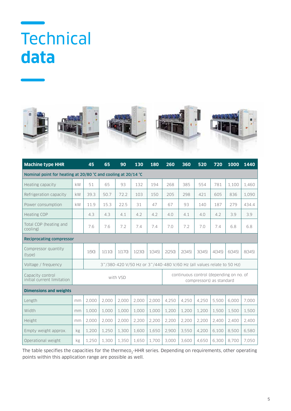### **Technical data**











| <b>Machine type HHR</b>                                       |                                                                       | 45    | 65     | 90     | 130    | 180    | 260                                                                 | 360    | 520    | 720    | 1000   | 1440   |
|---------------------------------------------------------------|-----------------------------------------------------------------------|-------|--------|--------|--------|--------|---------------------------------------------------------------------|--------|--------|--------|--------|--------|
| Nominal point for heating at 20/80 °C and cooling at 20/14 °C |                                                                       |       |        |        |        |        |                                                                     |        |        |        |        |        |
| Heating capacity                                              | kW                                                                    | 51    | 65     | 93     | 132    | 194    | 268                                                                 | 385    | 554    | 781    | 1,100  | 1,460  |
| Refrigeration capacity                                        | kW                                                                    | 39.3  | 50.7   | 72.2   | 103    | 150    | 205                                                                 | 298    | 421    | 605    | 836    | 1,090  |
| Power consumption                                             | kW                                                                    | 11.9  | 15.3   | 22.5   | 31     | 47     | 67                                                                  | 93     | 140    | 187    | 279    | 434.4  |
| <b>Heating COP</b>                                            |                                                                       | 4.3   | 4.3    | 4.1    | 4.2    | 4.2    | 4.0                                                                 | 4.1    | 4.0    | 4.2    | 3.9    | 3.9    |
| Total COP (heating and<br>cooling)                            |                                                                       | 7.6   | 7.6    | 7.2    | 7.4    | 7.4    | 7.0                                                                 | 7.2    | 7.0    | 7.4    | 6.8    | 6.8    |
| <b>Reciprocating compressor</b>                               |                                                                       |       |        |        |        |        |                                                                     |        |        |        |        |        |
| Compressor quantity<br>(type)                                 |                                                                       | 1(90) | 1(110) | 1(170) | 1(230) | 1(345) | 2(250)                                                              | 2(345) | 3(345) | 4(345) | 6(345) | 8(345) |
| Voltage / frequency                                           | 3~/380-420 V/50 Hz or 3~/440-480 V/60 Hz (all values relate to 50 Hz) |       |        |        |        |        |                                                                     |        |        |        |        |        |
| Capacity control<br>initial current limitation                | with VSD                                                              |       |        |        |        |        | continuous control (depending on no. of<br>compressors) as standard |        |        |        |        |        |
| <b>Dimensions and weights</b>                                 |                                                                       |       |        |        |        |        |                                                                     |        |        |        |        |        |
| Length                                                        | mm                                                                    | 2,000 | 2,000  | 2,000  | 2,000  | 2,000  | 4,250                                                               | 4,250  | 4,250  | 5,500  | 6.000  | 7,000  |
| Width                                                         | mm                                                                    | 1.000 | 1,000  | 1.000  | 1,000  | 1.000  | 1,200                                                               | 1,200  | 1,200  | 1,500  | 1,500  | 1,500  |
| Height                                                        | mm                                                                    | 2,000 | 2,000  | 2,000  | 2,200  | 2,200  | 2,200                                                               | 2,200  | 2,200  | 2,400  | 2,400  | 2,400  |
| Empty weight approx.                                          | kg                                                                    | 1,200 | 1,250  | 1,300  | 1,600  | 1,650  | 2,900                                                               | 3,550  | 4,200  | 6,100  | 8,500  | 6,580  |
| Operational weight                                            | kg                                                                    | 1.250 | 1.300  | 1.350  | 1.650  | 1.700  | 3.000                                                               | 3.600  | 4.650  | 6.300  | 8,700  | 7.050  |

The table specifies the capacities for the thermeco<sub>2</sub>-HHR series. Depending on requirements, other operating points within this application range are possible as well.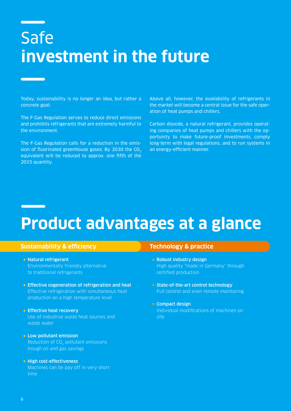# Safe **investment in the future**

Today, sustainability is no longer an idea, but rather a concrete goal:

The F-Gas Regulation serves to reduce direct emissions and prohibits refrigerants that are extremely harmful to the environment.

The F-Gas Regulation calls for a reduction in the emission of fluorinated greenhouse gases: By 2030 the  $CO<sub>2</sub>$ equivalent will be reduced to approx. one fifth of the 2015 quantity.

Above all, however, the availability of refrigerants in the market will become a central issue for the safe operation of heat pumps and chillers.

Carbon dioxide, a natural refrigerant, provides operating companies of heat pumps and chillers with the opportunity to make future-proof investments, comply long-term with legal regulations, and to run systems in an energy-efficient manner.

## **Product advantages at a glance**

#### **Sustainability & efficiency**

- Natural refrigerant Environmentally friendly alternative to traditional refrigerants
- **Effective cogeneration of refrigeration and heat** Effective refrigeration with simultaneous heat production on a high temperature level
- **Effective heat recovery** Use of industrial waste heat sources and waste water
- **Low pollutant emission** Reduction of  $CO<sub>2</sub>$  pollutant emissions trough oil and gas savings

#### • High cost-effectiveness Machines can be pay off in very short time

#### **Technology & practice**

- Robust industry design High quality "made in Germany" through certified production
- State-of-the-art control technology Full control and even remote monitoring
- Compact design Individual modifications of machines on site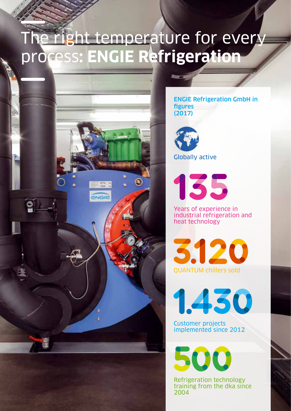### The right temperature for every process**: ENGIE Refrigeration**



ENGIE Refrigeration GmbH in figures (2017)



Globally active

135

Years of experience in industrial refrigeration and heat technology

3.120 QUANTUM chillers sold

1.430

Customer projects implemented since 2012

500

Refrigeration technology training from the dka since 2004